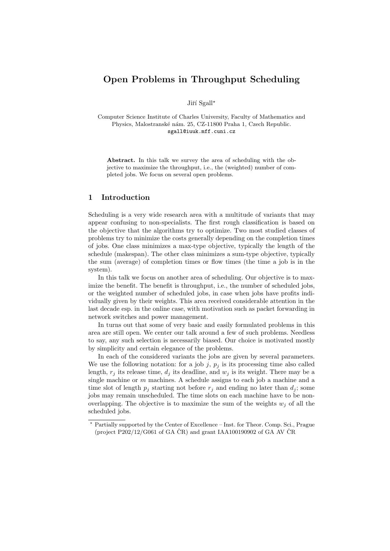# Open Problems in Throughput Scheduling

Jiří Sgall\*

Computer Science Institute of Charles University, Faculty of Mathematics and Physics, Malostranské nám. 25, CZ-11800 Praha 1, Czech Republic. sgall@iuuk.mff.cuni.cz

Abstract. In this talk we survey the area of scheduling with the objective to maximize the throughput, i.e., the (weighted) number of completed jobs. We focus on several open problems.

# 1 Introduction

Scheduling is a very wide research area with a multitude of variants that may appear confusing to non-specialists. The first rough classification is based on the objective that the algorithms try to optimize. Two most studied classes of problems try to minimize the costs generally depending on the completion times of jobs. One class minimizes a max-type objective, typically the length of the schedule (makespan). The other class minimizes a sum-type objective, typically the sum (average) of completion times or flow times (the time a job is in the system).

In this talk we focus on another area of scheduling. Our objective is to maximize the benefit. The benefit is throughput, i.e., the number of scheduled jobs, or the weighted number of scheduled jobs, in case when jobs have profits individually given by their weights. This area received considerable attention in the last decade esp. in the online case, with motivation such as packet forwarding in network switches and power management.

In turns out that some of very basic and easily formulated problems in this area are still open. We center our talk around a few of such problems. Needless to say, any such selection is necessarily biased. Our choice is motivated mostly by simplicity and certain elegance of the problems.

In each of the considered variants the jobs are given by several parameters. We use the following notation: for a job  $j, p_i$  is its processing time also called length,  $r_i$  its release time,  $d_i$  its deadline, and  $w_i$  is its weight. There may be a single machine or  $m$  machines. A schedule assigns to each job a machine and a time slot of length  $p_j$  starting not before  $r_j$  and ending no later than  $d_j$ ; some jobs may remain unscheduled. The time slots on each machine have to be nonoverlapping. The objective is to maximize the sum of the weights  $w_i$  of all the scheduled jobs.

<sup>?</sup> Partially supported by the Center of Excellence – Inst. for Theor. Comp. Sci., Prague (project P202/12/G061 of GA  $\text{\r{CR}}$ ) and grant IAA100190902 of GA AV  $\text{\r{CR}}$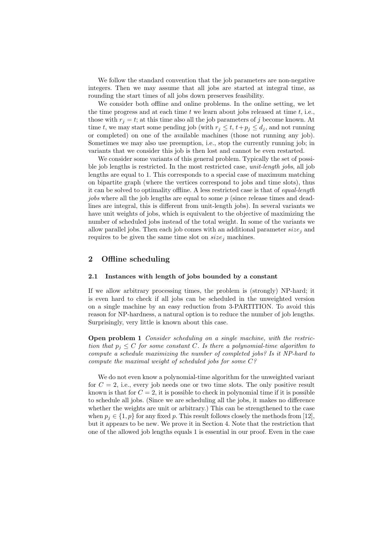We follow the standard convention that the job parameters are non-negative integers. Then we may assume that all jobs are started at integral time, as rounding the start times of all jobs down preserves feasibility.

We consider both offline and online problems. In the online setting, we let the time progress and at each time  $t$  we learn about jobs released at time  $t$ , i.e., those with  $r_i = t$ ; at this time also all the job parameters of j become known. At time t, we may start some pending job (with  $r_j \leq t$ ,  $t+p_j \leq d_j$ , and not running or completed) on one of the available machines (those not running any job). Sometimes we may also use preemption, i.e., stop the currently running job; in variants that we consider this job is then lost and cannot be even restarted.

We consider some variants of this general problem. Typically the set of possible job lengths is restricted. In the most restricted case, unit-length jobs, all job lengths are equal to 1. This corresponds to a special case of maximum matching on bipartite graph (where the vertices correspond to jobs and time slots), thus it can be solved to optimality offline. A less restricted case is that of equal-length *jobs* where all the job lengths are equal to some  $p$  (since release times and deadlines are integral, this is different from unit-length jobs). In several variants we have unit weights of jobs, which is equivalent to the objective of maximizing the number of scheduled jobs instead of the total weight. In some of the variants we allow parallel jobs. Then each job comes with an additional parameter  $size_i$  and requires to be given the same time slot on  $size<sub>j</sub>$  machines.

# 2 Offline scheduling

#### 2.1 Instances with length of jobs bounded by a constant

If we allow arbitrary processing times, the problem is (strongly) NP-hard; it is even hard to check if all jobs can be scheduled in the unweighted version on a single machine by an easy reduction from 3-PARTITION. To avoid this reason for NP-hardness, a natural option is to reduce the number of job lengths. Surprisingly, very little is known about this case.

Open problem 1 Consider scheduling on a single machine, with the restriction that  $p_i \leq C$  for some constant C. Is there a polynomial-time algorithm to compute a schedule maximizing the number of completed jobs? Is it NP-hard to compute the maximal weight of scheduled jobs for some C?

We do not even know a polynomial-time algorithm for the unweighted variant for  $C = 2$ , i.e., every job needs one or two time slots. The only positive result known is that for  $C = 2$ , it is possible to check in polynomial time if it is possible to schedule all jobs. (Since we are scheduling all the jobs, it makes no difference whether the weights are unit or arbitrary.) This can be strengthened to the case when  $p_i \in \{1, p\}$  for any fixed p. This result follows closely the methods from [12], but it appears to be new. We prove it in Section 4. Note that the restriction that one of the allowed job lengths equals 1 is essential in our proof. Even in the case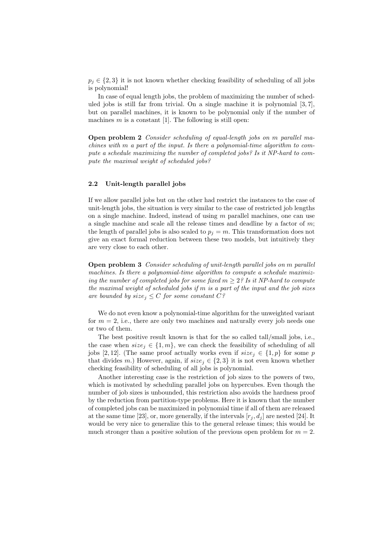$p_i \in \{2, 3\}$  it is not known whether checking feasibility of scheduling of all jobs is polynomial!

In case of equal length jobs, the problem of maximizing the number of scheduled jobs is still far from trivial. On a single machine it is polynomial  $[3, 7]$ , but on parallel machines, it is known to be polynomial only if the number of machines  $m$  is a constant [1]. The following is still open:

Open problem 2 Consider scheduling of equal-length jobs on m parallel machines with m a part of the input. Is there a polynomial-time algorithm to compute a schedule maximizing the number of completed jobs? Is it NP-hard to compute the maximal weight of scheduled jobs?

#### 2.2 Unit-length parallel jobs

If we allow parallel jobs but on the other had restrict the instances to the case of unit-length jobs, the situation is very similar to the case of restricted job lengths on a single machine. Indeed, instead of using  $m$  parallel machines, one can use a single machine and scale all the release times and deadline by a factor of  $m$ ; the length of parallel jobs is also scaled to  $p_j = m$ . This transformation does not give an exact formal reduction between these two models, but intuitively they are very close to each other.

Open problem 3 Consider scheduling of unit-length parallel jobs on m parallel machines. Is there a polynomial-time algorithm to compute a schedule maximizing the number of completed jobs for some fixed  $m \geq 2$ ? Is it NP-hard to compute the maximal weight of scheduled jobs if m is a part of the input and the job sizes are bounded by  $size_i \leq C$  for some constant  $C$ ?

We do not even know a polynomial-time algorithm for the unweighted variant for  $m = 2$ , i.e., there are only two machines and naturally every job needs one or two of them.

The best positive result known is that for the so called tall/small jobs, i.e., the case when  $size_j \in \{1,m\}$ , we can check the feasibility of scheduling of all jobs [2, 12]. (The same proof actually works even if  $size_j \in \{1, p\}$  for some p that divides m.) However, again, if  $size_i \in \{2,3\}$  it is not even known whether checking feasibility of scheduling of all jobs is polynomial.

Another interesting case is the restriction of job sizes to the powers of two, which is motivated by scheduling parallel jobs on hypercubes. Even though the number of job sizes is unbounded, this restriction also avoids the hardness proof by the reduction from partition-type problems. Here it is known that the number of completed jobs can be maximized in polynomial time if all of them are released at the same time [23], or, more generally, if the intervals  $[r_i, d_i]$  are nested [24]. It would be very nice to generalize this to the general release times; this would be much stronger than a positive solution of the previous open problem for  $m = 2$ .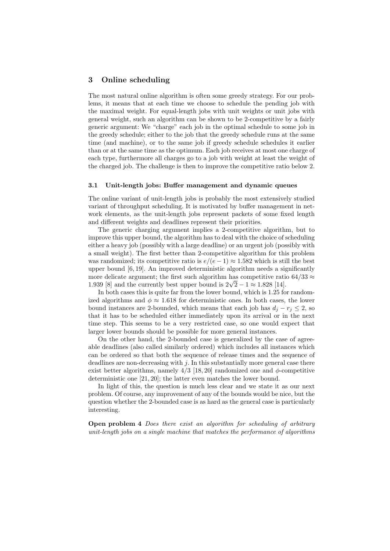### 3 Online scheduling

The most natural online algorithm is often some greedy strategy. For our problems, it means that at each time we choose to schedule the pending job with the maximal weight. For equal-length jobs with unit weights or unit jobs with general weight, such an algorithm can be shown to be 2-competitive by a fairly generic argument: We "charge" each job in the optimal schedule to some job in the greedy schedule; either to the job that the greedy schedule runs at the same time (and machine), or to the same job if greedy schedule schedules it earlier than or at the same time as the optimum. Each job receives at most one charge of each type, furthermore all charges go to a job with weight at least the weight of the charged job. The challenge is then to improve the competitive ratio below 2.

#### 3.1 Unit-length jobs: Buffer management and dynamic queues

The online variant of unit-length jobs is probably the most extensively studied variant of throughput scheduling. It is motivated by buffer management in network elements, as the unit-length jobs represent packets of some fixed length and different weights and deadlines represent their priorities.

The generic charging argument implies a 2-competitive algorithm, but to improve this upper bound, the algorithm has to deal with the choice of scheduling either a heavy job (possibly with a large deadline) or an urgent job (possibly with a small weight). The first better than 2-competitive algorithm for this problem was randomized; its competitive ratio is  $e/(e-1) \approx 1.582$  which is still the best upper bound [6, 19]. An improved deterministic algorithm needs a significantly more delicate argument; the first such algorithm has competitive ratio  $64/33 \approx$ more delicate argument; the first such algorithm has competitive rational 1.939 [8] and the currently best upper bound is  $2\sqrt{2} - 1 \approx 1.828$  [14].

In both cases this is quite far from the lower bound, which is 1.25 for randomized algorithms and  $\phi \approx 1.618$  for deterministic ones. In both cases, the lower bound instances are 2-bounded, which means that each job has  $d_i - r_j \leq 2$ , so that it has to be scheduled either immediately upon its arrival or in the next time step. This seems to be a very restricted case, so one would expect that larger lower bounds should be possible for more general instances.

On the other hand, the 2-bounded case is generalized by the case of agreeable deadlines (also called similarly ordered) which includes all instances which can be ordered so that both the sequence of release times and the sequence of deadlines are non-decreasing with  $j$ . In this substantially more general case there exist better algorithms, namely 4/3 [18, 20] randomized one and  $\phi$ -competitive deterministic one [21, 20]; the latter even matches the lower bound.

In light of this, the question is much less clear and we state it as our next problem. Of course, any improvement of any of the bounds would be nice, but the question whether the 2-bounded case is as hard as the general case is particularly interesting.

Open problem 4 Does there exist an algorithm for scheduling of arbitrary unit-length jobs on a single machine that matches the performance of algorithms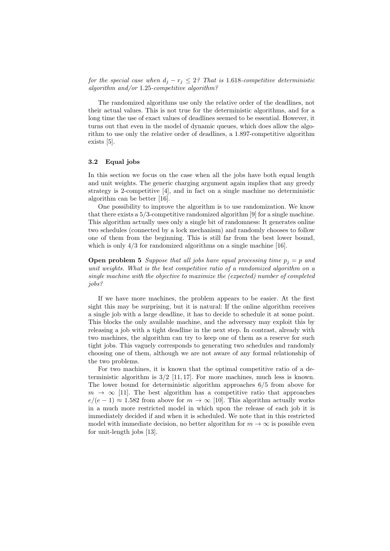for the special case when  $d_j - r_j \leq 2$ ? That is 1.618-competitive deterministic algorithm and/or 1.25-competitive algorithm?

The randomized algorithms use only the relative order of the deadlines, not their actual values. This is not true for the deterministic algorithms, and for a long time the use of exact values of deadlines seemed to be essential. However, it turns out that even in the model of dynamic queues, which does allow the algorithm to use only the relative order of deadlines, a 1.897-competitive algorithm exists [5].

### 3.2 Equal jobs

In this section we focus on the case when all the jobs have both equal length and unit weights. The generic charging argument again implies that any greedy strategy is 2-competitive [4], and in fact on a single machine no deterministic algorithm can be better [16].

One possibility to improve the algorithm is to use randomization. We know that there exists a 5/3-competitive randomized algorithm [9] for a single machine. This algorithm actually uses only a single bit of randomness: It generates online two schedules (connected by a lock mechanism) and randomly chooses to follow one of them from the beginning. This is still far from the best lower bound, which is only  $4/3$  for randomized algorithms on a single machine [16].

**Open problem 5** Suppose that all jobs have equal processing time  $p_i = p$  and unit weights. What is the best competitive ratio of a randomized algorithm on a single machine with the objective to maximize the (expected) number of completed jobs?

If we have more machines, the problem appears to be easier. At the first sight this may be surprising, but it is natural: If the online algorithm receives a single job with a large deadline, it has to decide to schedule it at some point. This blocks the only available machine, and the adversary may exploit this by releasing a job with a tight deadline in the next step. In contrast, already with two machines, the algorithm can try to keep one of them as a reserve for such tight jobs. This vaguely corresponds to generating two schedules and randomly choosing one of them, although we are not aware of any formal relationship of the two problems.

For two machines, it is known that the optimal competitive ratio of a deterministic algorithm is  $3/2$  [11, 17]. For more machines, much less is known. The lower bound for deterministic algorithm approaches 6/5 from above for  $m \to \infty$  [11]. The best algorithm has a competitive ratio that approaches  $e/(e-1) \approx 1.582$  from above for  $m \to \infty$  [10]. This algorithm actually works in a much more restricted model in which upon the release of each job it is immediately decided if and when it is scheduled. We note that in this restricted model with immediate decision, no better algorithm for  $m \to \infty$  is possible even for unit-length jobs [13].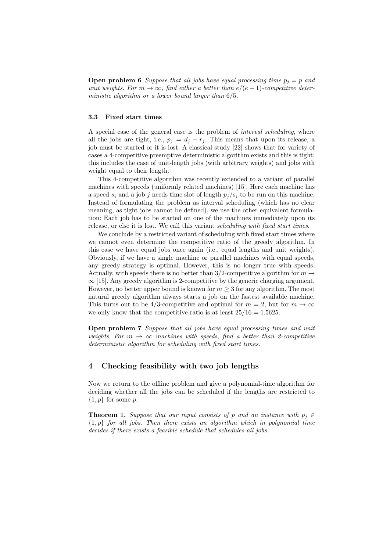**Open problem 6** Suppose that all jobs have equal processing time  $p_i = p$  and unit weights. For  $m \to \infty$ , find either a better than  $e/(e-1)$ -competitive deterministic algorithm or a lower bound larger than 6/5.

#### 3.3 Fixed start times

A special case of the general case is the problem of interval scheduling, where all the jobs are tight, i.e.,  $p_i = d_i - r_i$ . This means that upon its release, a job must be started or it is lost. A classical study [22] shows that for variety of cases a 4-competitive preemptive deterministic algorithm exists and this is tight; this includes the case of unit-length jobs (with arbitrary weights) and jobs with weight equal to their length.

This 4-competitive algorithm was recently extended to a variant of parallel machines with speeds (uniformly related machines) [15]. Here each machine has a speed  $s_i$  and a job j needs time slot of length  $p_j/s_i$  to be run on this machine. Instead of formulating the problem as interval scheduling (which has no clear meaning, as tight jobs cannot be defined), we use the other equivalent formulation: Each job has to be started on one of the machines immediately upon its release, or else it is lost. We call this variant *scheduling with fixed start times*.

We conclude by a restricted variant of scheduling with fixed start times where we cannot even determine the competitive ratio of the greedy algorithm. In this case we have equal jobs once again (i.e., equal lengths and unit weights). Obviously, if we have a single machine or parallel machines with equal speeds, any greedy strategy is optimal. However, this is no longer true with speeds. Actually, with speeds there is no better than 3/2-competitive algorithm for  $m \rightarrow$  $\infty$  [15]. Any greedy algorithm is 2-competitive by the generic charging argument. However, no better upper bound is known for  $m \geq 3$  for any algorithm. The most natural greedy algorithm always starts a job on the fastest available machine. This turns out to be 4/3-competitive and optimal for  $m = 2$ , but for  $m \to \infty$ we only know that the competitive ratio is at least  $25/16 = 1.5625$ .

Open problem 7 Suppose that all jobs have equal processing times and unit weights. For  $m \to \infty$  machines with speeds, find a better than 2-competitive deterministic algorithm for scheduling with fixed start times.

# 4 Checking feasibility with two job lengths

Now we return to the offline problem and give a polynomial-time algorithm for deciding whether all the jobs can be scheduled if the lengths are restricted to  $\{1,p\}$  for some p.

**Theorem 1.** Suppose that our input consists of p and an instance with  $p_i \in$  $\{1,p\}$  for all jobs. Then there exists an algorithm which in polynomial time decides if there exists a feasible schedule that schedules all jobs.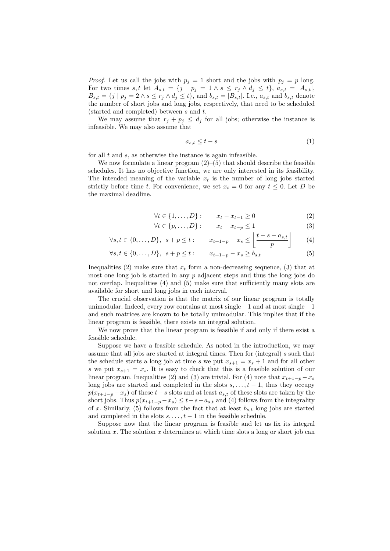*Proof.* Let us call the jobs with  $p_j = 1$  short and the jobs with  $p_j = p$  long. For two times s, t let  $A_{s,t} = \{j \mid p_j = 1 \land s \leq r_j \land d_j \leq t\}, a_{s,t} = |A_{s,t}|,$  $B_{s,t} = \{j \mid p_j = 2 \land s \leq r_j \land d_j \leq t\}$ , and  $b_{s,t} = |B_{s,t}|$ . I.e.,  $a_{s,t}$  and  $b_{s,t}$  denote the number of short jobs and long jobs, respectively, that need to be scheduled (started and completed) between s and t.

We may assume that  $r_j + p_j \leq d_j$  for all jobs; otherwise the instance is infeasible. We may also assume that

$$
a_{s,t} \le t - s \tag{1}
$$

for all  $t$  and  $s$ , as otherwise the instance is again infeasible.

We now formulate a linear program  $(2)$ – $(5)$  that should describe the feasible schedules. It has no objective function, we are only interested in its feasibility. The intended meaning of the variable  $x_t$  is the number of long jobs started strictly before time t. For convenience, we set  $x_t = 0$  for any  $t \leq 0$ . Let D be the maximal deadline.

$$
\forall t \in \{1, \dots, D\} : \qquad x_t - x_{t-1} \ge 0 \tag{2}
$$

$$
\forall t \in \{p, \dots, D\} : \qquad x_t - x_{t-p} \le 1 \tag{3}
$$

$$
\forall s, t \in \{0, ..., D\}, \ s + p \le t : \qquad x_{t+1-p} - x_s \le \left\lfloor \frac{t - s - a_{s,t}}{p} \right\rfloor \tag{4}
$$

$$
\forall s, t \in \{0, \dots, D\}, \ s + p \le t : \qquad x_{t+1-p} - x_s \ge b_{s,t} \tag{5}
$$

Inequalities (2) make sure that  $x_t$  form a non-decreasing sequence, (3) that at most one long job is started in any  $p$  adjacent steps and thus the long jobs do not overlap. Inequalities (4) and (5) make sure that sufficiently many slots are available for short and long jobs in each interval.

The crucial observation is that the matrix of our linear program is totally unimodular. Indeed, every row contains at most single  $-1$  and at most single  $+1$ and such matrices are known to be totally unimodular. This implies that if the linear program is feasible, there exists an integral solution.

We now prove that the linear program is feasible if and only if there exist a feasible schedule.

Suppose we have a feasible schedule. As noted in the introduction, we may assume that all jobs are started at integral times. Then for (integral) s such that the schedule starts a long job at time s we put  $x_{s+1} = x_s + 1$  and for all other s we put  $x_{s+1} = x_s$ . It is easy to check that this is a feasible solution of our linear program. Inequalities (2) and (3) are trivial. For (4) note that  $x_{t+1-p} - x_s$ long jobs are started and completed in the slots  $s, \ldots, t-1$ , thus they occupy  $p(x_{t+1-p}-x_s)$  of these  $t-s$  slots and at least  $a_{s,t}$  of these slots are taken by the short jobs. Thus  $p(x_{t+1-p}-x_s) \leq t-s-a_{s,t}$  and (4) follows from the integrality of x. Similarly, (5) follows from the fact that at least  $b_{s,t}$  long jobs are started and completed in the slots  $s, \ldots, t-1$  in the feasible schedule.

Suppose now that the linear program is feasible and let us fix its integral solution x. The solution x determines at which time slots a long or short job can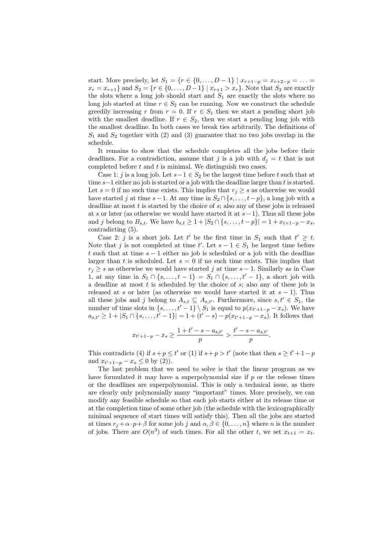start. More precisely, let  $S_1 = \{r \in \{0, ..., D-1\} \mid x_{r+1-p} = x_{r+2-p} = ... =$  $x_r = x_{r+1}$  and  $S_2 = \{r \in \{0, ..., D-1\} \mid x_{r+1} > x_r\}$ . Note that  $S_2$  are exactly the slots where a long job should start and  $S_1$  are exactly the slots where no long job started at time  $r \in S_2$  can be running. Now we construct the schedule greedily increasing r from  $r = 0$ . If  $r \in S_1$  then we start a pending short job with the smallest deadline. If  $r \in S_2$ , then we start a pending long job with the smallest deadline. In both cases we break ties arbitrarily. The definitions of  $S_1$  and  $S_2$  together with (2) and (3) guarantee that no two jobs overlap in the schedule.

It remains to show that the schedule completes all the jobs before their deadlines. For a contradiction, assume that j is a job with  $d_i = t$  that is not completed before  $t$  and  $t$  is minimal. We distinguish two cases.

Case 1: j is a long job. Let  $s-1 \in S_2$  be the largest time before t such that at time  $s-1$  either no job is started or a job with the deadline larger than t is started. Let  $s = 0$  if no such time exists. This implies that  $r_j \geq s$  as otherwise we would have started j at time  $s - 1$ . At any time in  $S_2 \cap \{s, \ldots, t - p\}$ , a long job with a deadline at most  $t$  is started by the choice of  $s$ ; also any of these jobs is released at s or later (as otherwise we would have started it at  $s-1$ ). Thus all these jobs and j belong to  $B_{s,t}$ . We have  $b_{s,t} \geq 1 + |S_2 \cap \{s, \ldots, t-p\}| = 1 + x_{t+1-p} - x_s$ , contradicting (5).

Case 2: j is a short job. Let t' be the first time in  $S_1$  such that  $t' \geq t$ . Note that j is not completed at time  $t'$ . Let  $s - 1 \in S_1$  be largest time before t such that at time  $s - 1$  either no job is scheduled or a job with the deadline larger than t is scheduled. Let  $s = 0$  if no such time exists. This implies that  $r_j \geq s$  as otherwise we would have started j at time  $s - 1$ . Similarly as in Case 1, at any time in  $S_1 \cap \{s, \ldots, t-1\} = S_1 \cap \{s, \ldots, t'-1\}$ , a short job with a deadline at most  $t$  is scheduled by the choice of  $s$ ; also any of these job is released at s or later (as otherwise we would have started it at  $s - 1$ ). Thus all these jobs and j belong to  $A_{s,t} \subseteq A_{s,t'}$ . Furthermore, since  $s, t' \in S_1$ , the number of time slots in  $\{s, \ldots, t'-1\} \setminus S_1$  is equal to  $p(x_{t'+1-p} - x_s)$ . We have  $a_{s,t'} \geq 1 + |S_1 \cap \{s, \ldots, t'-1\}| = 1 + (t'-s) - p(x_{t'+1-p} - x_s)$ . It follows that

$$
x_{t'+1-p} - x_s \ge \frac{1+t'-s - a_{s,t'}}{p} > \frac{t'-s - a_{s,t'}}{p}.
$$

This contradicts (4) if  $s + p \le t'$  or (1) if  $s + p > t'$  (note that then  $s \ge t' + 1 - p$ and  $x_{t'+1-p} - x_s \leq 0$  by (2)).

The last problem that we need to solve is that the linear program as we have formulated it may have a superpolynomial size if  $p$  or the release times or the deadlines are superpolynomial. This is only a technical issue, as there are clearly only polynomially many "important" times. More precisely, we can modify any feasible schedule so that each job starts either at its release time or at the completion time of some other job (the schedule with the lexicographically minimal sequence of start times will satisfy this). Then all the jobs are started at times  $r_i + \alpha \cdot p + \beta$  for some job j and  $\alpha, \beta \in \{0, \ldots, n\}$  where n is the number of jobs. There are  $O(n^3)$  of such times. For all the other t, we set  $x_{t+1} = x_t$ .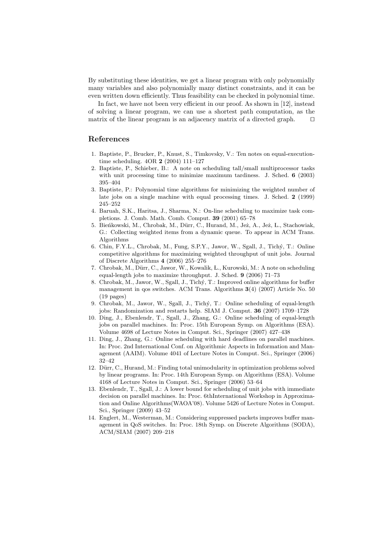By substituting these identities, we get a linear program with only polynomially many variables and also polynomially many distinct constraints, and it can be even written down efficiently. Thus feasibility can be checked in polynomial time.

In fact, we have not been very efficient in our proof. As shown in [12], instead of solving a linear program, we can use a shortest path computation, as the matrix of the linear program is an adjacency matrix of a directed graph.  $\Box$ 

# References

- 1. Baptiste, P., Brucker, P., Knust, S., Timkovsky, V.: Ten notes on equal-executiontime scheduling. 4OR 2 (2004) 111–127
- 2. Baptiste, P., Schieber, B.: A note on scheduling tall/small multiprocessor tasks with unit processing time to minimize maximum tardiness. J. Sched. **6** (2003) 395–404
- 3. Baptiste, P.: Polynomial time algorithms for minimizing the weighted number of late jobs on a single machine with equal processing times. J. Sched. 2 (1999) 245–252
- 4. Baruah, S.K., Haritsa, J., Sharma, N.: On-line scheduling to maximize task completions. J. Comb. Math. Comb. Comput. 39 (2001) 65–78
- 5. Bieńkowski, M., Chrobak, M., Dürr, C., Hurand, M., Jeż, A., Jeż, Ł., Stachowiak, G.: Collecting weighted items from a dynamic queue. To appear in ACM Trans. Algorithms
- 6. Chin, F.Y.L., Chrobak, M., Fung, S.P.Y., Jawor, W., Sgall, J., Tichý, T.: Online competitive algorithms for maximizing weighted throughput of unit jobs. Journal of Discrete Algorithms 4 (2006) 255–276
- 7. Chrobak, M., Dürr, C., Jawor, W., Kowalik, L., Kurowski, M.: A note on scheduling equal-length jobs to maximize throughput. J. Sched. 9 (2006) 71–73
- 8. Chrobak, M., Jawor, W., Sgall, J., Tichý, T.: Improved online algorithms for buffer management in qos switches. ACM Trans. Algorithms 3(4) (2007) Article No. 50 (19 pages)
- 9. Chrobak, M., Jawor, W., Sgall, J., Tich´y, T.: Online scheduling of equal-length jobs: Randomization and restarts help. SIAM J. Comput. 36 (2007) 1709–1728
- 10. Ding, J., Ebenlendr, T., Sgall, J., Zhang, G.: Online scheduling of equal-length jobs on parallel machines. In: Proc. 15th European Symp. on Algorithms (ESA). Volume 4698 of Lecture Notes in Comput. Sci., Springer (2007) 427–438
- 11. Ding, J., Zhang, G.: Online scheduling with hard deadlines on parallel machines. In: Proc. 2nd International Conf. on Algorithmic Aspects in Information and Management (AAIM). Volume 4041 of Lecture Notes in Comput. Sci., Springer (2006) 32–42
- 12. Dürr, C., Hurand, M.: Finding total unimodularity in optimization problems solved by linear programs. In: Proc. 14th European Symp. on Algorithms (ESA). Volume 4168 of Lecture Notes in Comput. Sci., Springer (2006) 53–64
- 13. Ebenlendr, T., Sgall, J.: A lower bound for scheduling of unit jobs with immediate decision on parallel machines. In: Proc. 6thInternational Workshop in Approximation and Online Algorithms(WAOA'08). Volume 5426 of Lecture Notes in Comput. Sci., Springer (2009) 43–52
- 14. Englert, M., Westerman, M.: Considering suppressed packets improves buffer management in QoS switches. In: Proc. 18th Symp. on Discrete Algorithms (SODA), ACM/SIAM (2007) 209–218